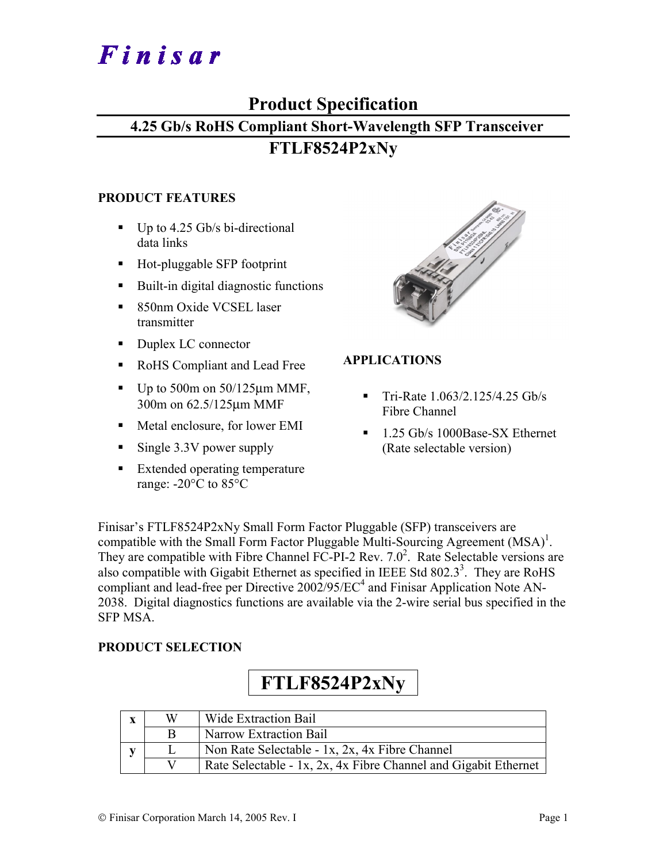# Finisar

## **Product Specification**

#### **4.25 Gb/s RoHS Compliant Short-Wavelength SFP Transceiver**

### **FTLF8524P2xNy**

#### **PRODUCT FEATURES**

- $\blacksquare$  Up to 4.25 Gb/s bi-directional data links
- Hot-pluggable SFP footprint
- Built-in digital diagnostic functions
- 850nm Oxide VCSEL laser transmitter
- Duplex LC connector
- RoHS Compliant and Lead Free
- $\blacksquare$  Up to 500m on 50/125 $\mu$ m MMF, 300m on 62.5/125µm MMF
- Metal enclosure, for lower EMI
- Single 3.3V power supply
- **Extended operating temperature** range: -20°C to 85°C



#### **APPLICATIONS**

- $\blacksquare$  Tri-Rate 1.063/2.125/4.25 Gb/s Fibre Channel
- <sup>1.25</sup> Gb/s 1000Base-SX Ethernet (Rate selectable version)

Finisar's FTLF8524P2xNy Small Form Factor Pluggable (SFP) transceivers are compatible with the Small Form Factor Pluggable Multi-Sourcing Agreement  $(MSA)^1$ . They are compatible with Fibre Channel FC-PI-2 Rev.  $7.0^2$ . Rate Selectable versions are also compatible with Gigabit Ethernet as specified in IEEE Std  $802.3<sup>3</sup>$ . They are RoHS compliant and lead-free per Directive  $2002/95/EC^4$  and Finisar Application Note AN-2038. Digital diagnostics functions are available via the 2-wire serial bus specified in the SFP MSA.

#### **PRODUCT SELECTION**

## **FTLF8524P2xNy**

| $\mathbf x$ | W | Wide Extraction Bail                                            |
|-------------|---|-----------------------------------------------------------------|
|             |   | Narrow Extraction Bail                                          |
|             |   | Non Rate Selectable - 1x, 2x, 4x Fibre Channel                  |
|             |   | Rate Selectable - 1x, 2x, 4x Fibre Channel and Gigabit Ethernet |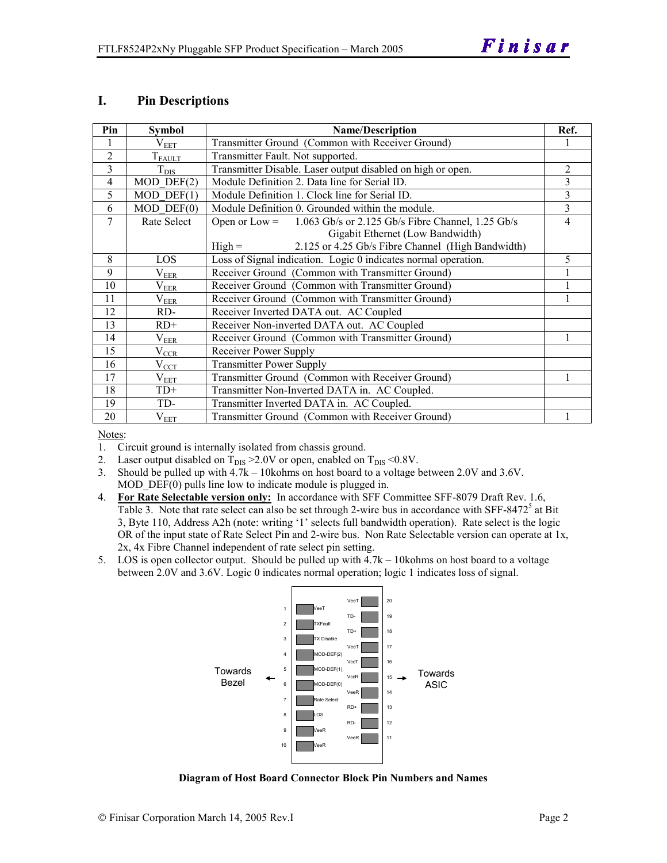#### **I. Pin Descriptions**

| Pin            | <b>Symbol</b>      | <b>Name/Description</b>                                              | Ref.           |
|----------------|--------------------|----------------------------------------------------------------------|----------------|
|                | $\rm V_{EET}$      | Transmitter Ground (Common with Receiver Ground)                     |                |
| $\overline{2}$ | $T_{F\text{AULT}}$ | Transmitter Fault. Not supported.                                    |                |
| 3              | $\mathrm{T_{DIS}}$ | Transmitter Disable. Laser output disabled on high or open.          | 2              |
| $\overline{4}$ | $MOD$ $DEF(2)$     | Module Definition 2. Data line for Serial ID.                        | 3              |
| 5              | $MOD$ DEF $(1)$    | Module Definition 1. Clock line for Serial ID.                       | 3              |
| 6              | $MOD$ $DEF(0)$     | Module Definition 0. Grounded within the module.                     | 3              |
| 7              | Rate Select        | 1.063 Gb/s or 2.125 Gb/s Fibre Channel, 1.25 Gb/s<br>Open or $Low =$ | $\overline{4}$ |
|                |                    | Gigabit Ethernet (Low Bandwidth)                                     |                |
|                |                    | 2.125 or 4.25 Gb/s Fibre Channel (High Bandwidth)<br>$High =$        |                |
| 8              | LOS                | Loss of Signal indication. Logic 0 indicates normal operation.       | 5              |
| 9              | $V_{ER$            | Receiver Ground (Common with Transmitter Ground)                     |                |
| 10             | $\rm V_{EER}$      | Receiver Ground (Common with Transmitter Ground)                     |                |
| 11             | $\rm V_{EER}$      | Receiver Ground (Common with Transmitter Ground)                     |                |
| 12             | RD-                | Receiver Inverted DATA out. AC Coupled                               |                |
| 13             | $RD+$              | Receiver Non-inverted DATA out. AC Coupled                           |                |
| 14             | $\rm V_{EER}$      | Receiver Ground (Common with Transmitter Ground)                     |                |
| 15             | $\rm V_{CCR}$      | Receiver Power Supply                                                |                |
| 16             | $\rm V_{\rm CCI}$  | <b>Transmitter Power Supply</b>                                      |                |
| 17             | $\rm V_{\rm EET}$  | Transmitter Ground (Common with Receiver Ground)                     |                |
| 18             | $TD+$              | Transmitter Non-Inverted DATA in. AC Coupled.                        |                |
| 19             | TD-                | Transmitter Inverted DATA in. AC Coupled.                            |                |
| 20             | $\rm V_{EET}$      | Transmitter Ground (Common with Receiver Ground)                     |                |

Notes:

- 1. Circuit ground is internally isolated from chassis ground.
- 2. Laser output disabled on  $T_{DIS} > 2.0V$  or open, enabled on  $T_{DIS} < 0.8V$ .
- 3. Should be pulled up with 4.7k 10kohms on host board to a voltage between 2.0V and 3.6V. MOD\_DEF(0) pulls line low to indicate module is plugged in.
- 4. **For Rate Selectable version only:** In accordance with SFF Committee SFF-8079 Draft Rev. 1.6, Table 3. Note that rate select can also be set through 2-wire bus in accordance with SFF-8472<sup>5</sup> at Bit 3, Byte 110, Address A2h (note: writing '1' selects full bandwidth operation). Rate select is the logic OR of the input state of Rate Select Pin and 2-wire bus. Non Rate Selectable version can operate at 1x, 2x, 4x Fibre Channel independent of rate select pin setting.
- 5. LOS is open collector output. Should be pulled up with 4.7k 10kohms on host board to a voltage between 2.0V and 3.6V. Logic 0 indicates normal operation; logic 1 indicates loss of signal.



**Diagram of Host Board Connector Block Pin Numbers and Names**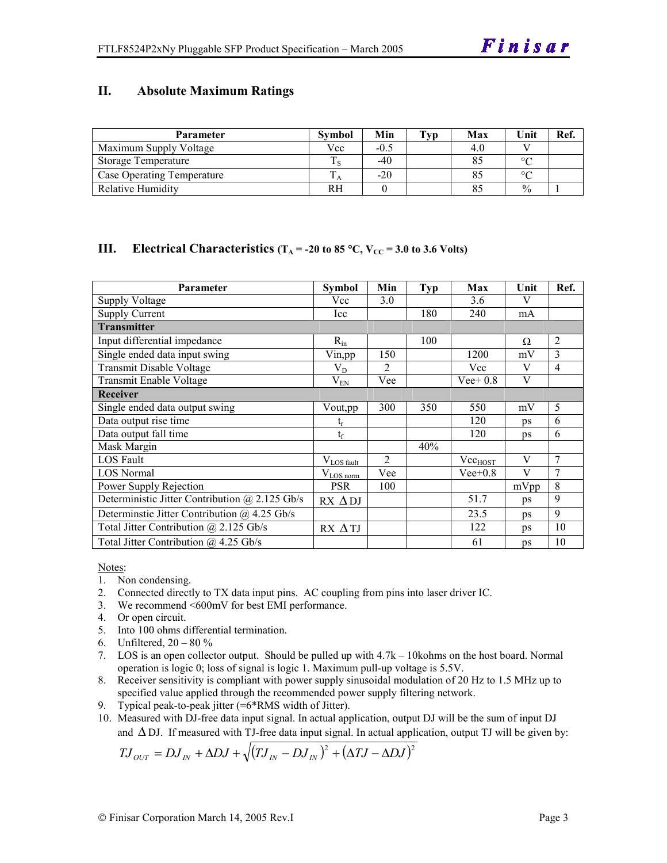#### **II. Absolute Maximum Ratings**

| <b>Parameter</b>           | <b>Symbol</b> | Min    | $\mathbf{T}_{\mathbf{V}\mathbf{p}}$ | Max | Unit          | Ref. |
|----------------------------|---------------|--------|-------------------------------------|-----|---------------|------|
| Maximum Supply Voltage     | Vcc           | $-0.5$ |                                     | 4.0 |               |      |
| <b>Storage Temperature</b> |               | $-40$  |                                     | 85  | $\circ$       |      |
| Case Operating Temperature |               | $-20$  |                                     | 85  | $\circ$       |      |
| <b>Relative Humidity</b>   | RН            |        |                                     | 85  | $\frac{0}{0}$ |      |

#### **III.** Electrical Characteristics ( $T_A = -20$  to 85 °C,  $V_{CC} = 3.0$  to 3.6 Volts)

| <b>Parameter</b>                                    | <b>Symbol</b>         | Min            | <b>Typ</b> | Max          | Unit | Ref.           |
|-----------------------------------------------------|-----------------------|----------------|------------|--------------|------|----------------|
| <b>Supply Voltage</b>                               | Vcc                   | 3.0            |            | 3.6          | V    |                |
| <b>Supply Current</b>                               | Icc                   |                | 180        | 240          | mA   |                |
| <b>Transmitter</b>                                  |                       |                |            |              |      |                |
| Input differential impedance                        | $R_{in}$              |                | 100        |              | Ω    | $\overline{2}$ |
| Single ended data input swing                       | Vin,pp                | 150            |            | 1200         | mV   | 3              |
| <b>Transmit Disable Voltage</b>                     | $V_D$                 | 2              |            | Vcc          | V    | $\overline{4}$ |
| Transmit Enable Voltage                             | $V_{EN}$              | Vee            |            | $Vee+0.8$    | V    |                |
| <b>Receiver</b>                                     |                       |                |            |              |      |                |
| Single ended data output swing                      | Vout,pp               | 300            | 350        | 550          | mV   | 5              |
| Data output rise time                               | t,                    |                |            | 120          | ps   | 6              |
| Data output fall time                               | $t_f$                 |                |            | 120          | ps   | 6              |
| Mask Margin                                         |                       |                | 40%        |              |      |                |
| <b>LOS Fault</b>                                    | $V_{LOS\_fault}$      | $\overline{2}$ |            | $Vec_{HOST}$ | V    | 7              |
| <b>LOS Normal</b>                                   | $V_{\text{LOS norm}}$ | Vee            |            | $Vee+0.8$    | V    | 7              |
| Power Supply Rejection                              | <b>PSR</b>            | 100            |            |              | mVpp | 8              |
| Deterministic Jitter Contribution @ 2.125 Gb/s      | $RX \Delta DJ$        |                |            | 51.7         | ps   | 9              |
| Determinstic Jitter Contribution $\omega$ 4.25 Gb/s |                       |                |            | 23.5         | ps   | 9              |
| Total Jitter Contribution @ 2.125 Gb/s              | $RX \Delta TI$        |                |            | 122          | ps   | 10             |
| Total Jitter Contribution $(a)$ 4.25 Gb/s           |                       |                |            | 61           | ps   | 10             |

Notes:

- 1. Non condensing.
- 2. Connected directly to TX data input pins. AC coupling from pins into laser driver IC.
- 3. We recommend <600mV for best EMI performance.
- 4. Or open circuit.
- 5. Into 100 ohms differential termination.
- 6. Unfiltered,  $20 80 \%$
- 7. LOS is an open collector output. Should be pulled up with 4.7k 10kohms on the host board. Normal operation is logic 0; loss of signal is logic 1. Maximum pull-up voltage is 5.5V.
- 8. Receiver sensitivity is compliant with power supply sinusoidal modulation of 20 Hz to 1.5 MHz up to specified value applied through the recommended power supply filtering network.
- 9. Typical peak-to-peak jitter (=6\*RMS width of Jitter).
- 10. Measured with DJ-free data input signal. In actual application, output DJ will be the sum of input DJ and ∆ DJ. If measured with TJ-free data input signal. In actual application, output TJ will be given by:

$$
T J_{OUT} = D J_{IN} + \Delta D J + \sqrt{(T J_{IN} - D J_{IN})^{2} + (\Delta T J - \Delta D J)^{2}}
$$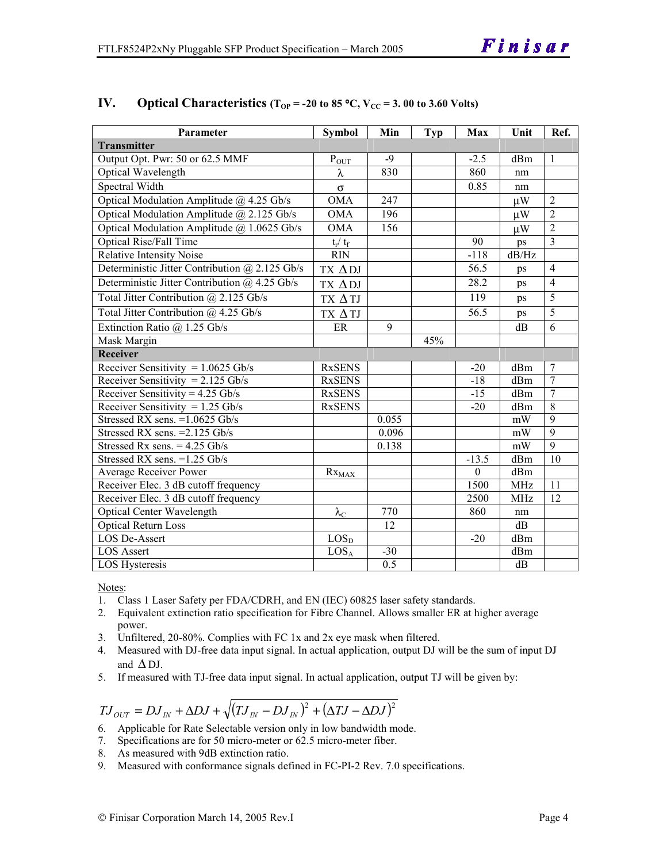| Parameter                                             | <b>Symbol</b>     | Min   | <b>Typ</b> | Max              | Unit       | Ref.            |
|-------------------------------------------------------|-------------------|-------|------------|------------------|------------|-----------------|
| <b>Transmitter</b>                                    |                   |       |            |                  |            |                 |
| Output Opt. Pwr: 50 or 62.5 MMF                       | $\bar{P}_{OUT}$   | $-9$  |            | $-2.5$           | dBm        | $\mathbf{1}$    |
| <b>Optical Wavelength</b>                             | λ                 | 830   |            | 860              | nm         |                 |
| Spectral Width                                        | $\sigma$          |       |            | 0.85             | nm         |                 |
| Optical Modulation Amplitude $@$ 4.25 Gb/s            | <b>OMA</b>        | 247   |            |                  | $\mu$ W    | $\overline{2}$  |
| Optical Modulation Amplitude @ 2.125 Gb/s             | <b>OMA</b>        | 196   |            |                  | $\mu$ W    | $\overline{2}$  |
| Optical Modulation Amplitude @ 1.0625 Gb/s            | <b>OMA</b>        | 156   |            |                  | $\mu$ W    | $\overline{2}$  |
| <b>Optical Rise/Fall Time</b>                         | $t_r / t_f$       |       |            | 90               | ps         | $\overline{3}$  |
| Relative Intensity Noise                              | <b>RIN</b>        |       |            | $-118$           | $dB/Hz$    |                 |
| Deterministic Jitter Contribution @ 2.125 Gb/s        | TX ADJ            |       |            | 56.5             | ps         | $\overline{4}$  |
| Deterministic Jitter Contribution @ 4.25 Gb/s         | TX $\Delta$ DJ    |       |            | 28.2             | ps         | $\overline{4}$  |
| Total Jitter Contribution @ 2.125 Gb/s                | TX ΔTJ            |       |            | $\overline{119}$ | ps         | 5               |
| Total Jitter Contribution @ 4.25 Gb/s                 | TX ΔTJ            |       |            | 56.5             | ps         | $\overline{5}$  |
| Extinction Ratio $\overline{a}$ 1.25 Gb/s             | ER                | 9     |            |                  | dB         | 6               |
| Mask Margin                                           |                   |       | 45%        |                  |            |                 |
| Receiver                                              |                   |       |            |                  |            |                 |
| Receiver Sensitivity = $1.0625$ Gb/s                  | <b>RxSENS</b>     |       |            | $-20$            | dBm        | $\overline{7}$  |
| Receiver Sensitivity = $2.125$ Gb/s                   | <b>RxSENS</b>     |       |            | $-18$            | dBm        | $\overline{7}$  |
| Receiver Sensitivity = $4.25$ Gb/s                    | <b>RxSENS</b>     |       |            | $-15$            | dBm        | 7               |
| Receiver Sensitivity = $1.\overline{25 \text{ Gb/s}}$ | <b>RxSENS</b>     |       |            | $-20$            | dBm        | $\overline{8}$  |
| Stressed RX sens. $=1.0625$ Gb/s                      |                   | 0.055 |            |                  | mW         | $\overline{9}$  |
| Stressed RX sens. = 2.125 Gb/s                        |                   | 0.096 |            |                  | mW         | $\overline{9}$  |
| Stressed Rx sens. $= 4.25$ Gb/s                       |                   | 0.138 |            |                  | mW         | $\overline{9}$  |
| Stressed RX sens. = 1.25 Gb/s                         |                   |       |            | $-13.5$          | dBm        | $\overline{10}$ |
| Average Receiver Power                                | $Rx_{MAX}$        |       |            | $\boldsymbol{0}$ | dBm        |                 |
| Receiver Elec. 3 dB cutoff frequency                  |                   |       |            | 1500             | <b>MHz</b> | 11              |
| Receiver Elec. 3 dB cutoff frequency                  |                   |       |            | 2500             | <b>MHz</b> | $\overline{12}$ |
| <b>Optical Center Wavelength</b>                      | $\lambda_{\rm C}$ | 770   |            | 860              | nm         |                 |
| <b>Optical Return Loss</b>                            |                   | 12    |            |                  | dB         |                 |
| <b>LOS De-Assert</b>                                  | $LOS_{D}$         |       |            | $-20$            | dBm        |                 |
| <b>LOS</b> Assert                                     | $LOS_A$           | $-30$ |            |                  | dBm        |                 |
| <b>LOS Hysteresis</b>                                 |                   | 0.5   |            |                  | dB         |                 |

#### IV. Optical Characteristics ( $T_{OP}$  = -20 to 85 °C,  $V_{CC}$  = 3. 00 to 3.60 Volts)

Notes:

- 1. Class 1 Laser Safety per FDA/CDRH, and EN (IEC) 60825 laser safety standards.
- 2. Equivalent extinction ratio specification for Fibre Channel. Allows smaller ER at higher average power.
- 3. Unfiltered, 20-80%. Complies with FC 1x and 2x eye mask when filtered.
- 4. Measured with DJ-free data input signal. In actual application, output DJ will be the sum of input DJ and  $\Delta$ DJ.
- 5. If measured with TJ-free data input signal. In actual application, output TJ will be given by:

$$
T J_{OUT} = D J_{IN} + \Delta D J + \sqrt{(T J_{IN} - D J_{IN})^2 + (\Delta T J - \Delta D J)^2}
$$

- 6. Applicable for Rate Selectable version only in low bandwidth mode.
- 7. Specifications are for 50 micro-meter or 62.5 micro-meter fiber.
- 8. As measured with 9dB extinction ratio.
- 9. Measured with conformance signals defined in FC-PI-2 Rev. 7.0 specifications.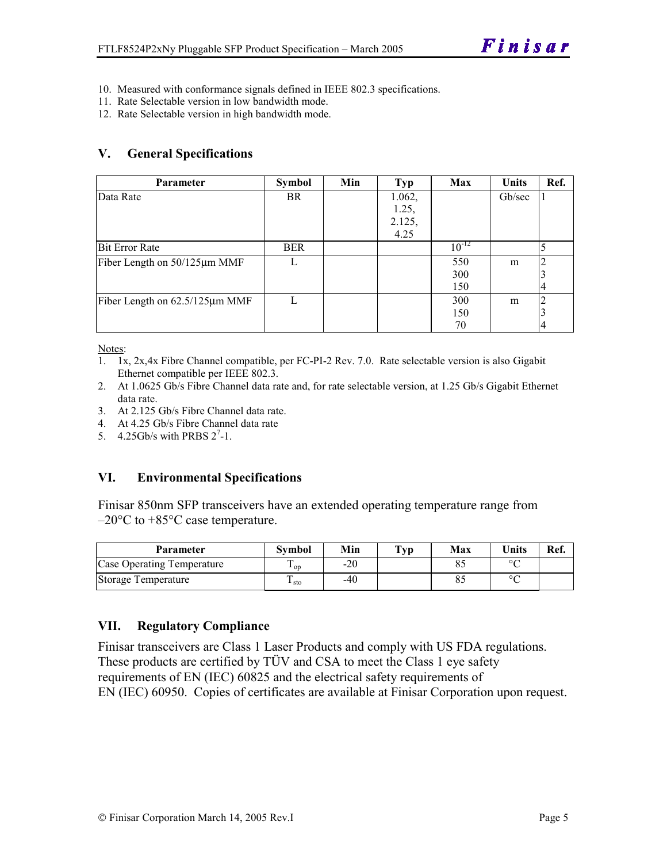- 10. Measured with conformance signals defined in IEEE 802.3 specifications.
- 11. Rate Selectable version in low bandwidth mode.
- 12. Rate Selectable version in high bandwidth mode.

#### **V. General Specifications**

| <b>Parameter</b>               | <b>Symbol</b> | Min | <b>Typ</b> | Max        | <b>Units</b> | Ref. |
|--------------------------------|---------------|-----|------------|------------|--------------|------|
| Data Rate                      | <b>BR</b>     |     | 1.062,     |            | Gb/sec       |      |
|                                |               |     | 1.25,      |            |              |      |
|                                |               |     | 2.125,     |            |              |      |
|                                |               |     | 4.25       |            |              |      |
| <b>Bit Error Rate</b>          | <b>BER</b>    |     |            | $10^{-12}$ |              | 5    |
| Fiber Length on 50/125µm MMF   |               |     |            | 550        | m            |      |
|                                |               |     |            | 300        |              |      |
|                                |               |     |            | 150        |              | 4    |
| Fiber Length on 62.5/125µm MMF |               |     |            | 300        | m            |      |
|                                |               |     |            | 150        |              |      |
|                                |               |     |            | 70         |              | 4    |

Notes:

- 1. 1x, 2x,4x Fibre Channel compatible, per FC-PI-2 Rev. 7.0. Rate selectable version is also Gigabit Ethernet compatible per IEEE 802.3.
- 2. At 1.0625 Gb/s Fibre Channel data rate and, for rate selectable version, at 1.25 Gb/s Gigabit Ethernet data rate.
- 3. At 2.125 Gb/s Fibre Channel data rate.
- 4. At 4.25 Gb/s Fibre Channel data rate
- 5.  $4.25$ Gb/s with PRBS  $2^7$ -1.

#### **VI. Environmental Specifications**

Finisar 850nm SFP transceivers have an extended operating temperature range from  $-20\textdegree$ C to  $+85\textdegree$ C case temperature.

| Parameter                  | Svmbol          | Min   | $\mathbf{T}_{\mathbf{V}\mathbf{p}}$ | Max | <b>Units</b> | Ref. |
|----------------------------|-----------------|-------|-------------------------------------|-----|--------------|------|
| Case Operating Temperature | Ē<br>$\cdot$ op | $-20$ |                                     |     | $\sim$       |      |
| Storage Temperature        | ᠇<br>⊥ sto      | $-40$ |                                     |     | $\sim$       |      |

#### **VII. Regulatory Compliance**

Finisar transceivers are Class 1 Laser Products and comply with US FDA regulations. These products are certified by TÜV and CSA to meet the Class 1 eye safety requirements of EN (IEC) 60825 and the electrical safety requirements of EN (IEC) 60950. Copies of certificates are available at Finisar Corporation upon request.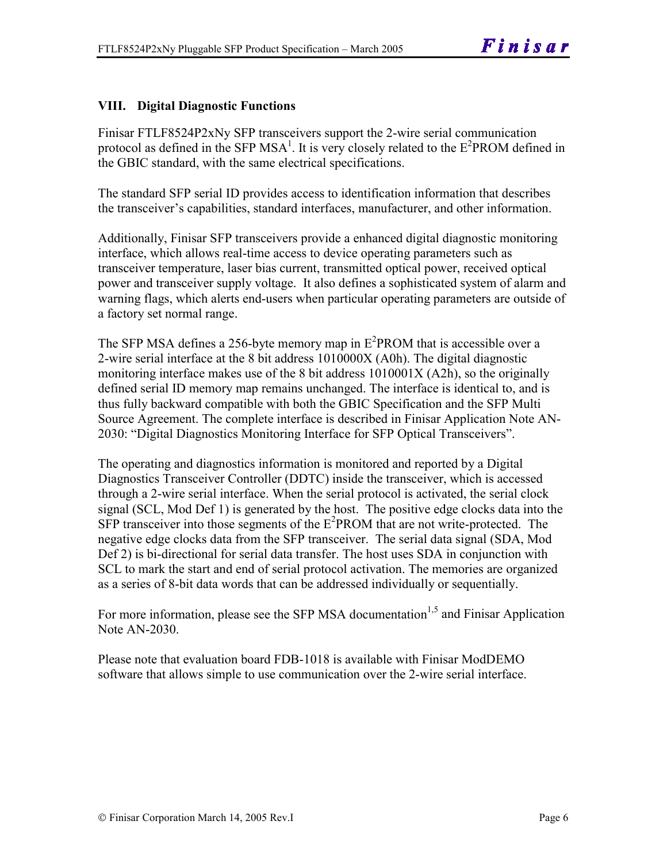#### **VIII. Digital Diagnostic Functions**

Finisar FTLF8524P2xNy SFP transceivers support the 2-wire serial communication protocol as defined in the SFP MSA<sup>1</sup>. It is very closely related to the  $E^2$ PROM defined in the GBIC standard, with the same electrical specifications.

The standard SFP serial ID provides access to identification information that describes the transceiver's capabilities, standard interfaces, manufacturer, and other information.

Additionally, Finisar SFP transceivers provide a enhanced digital diagnostic monitoring interface, which allows real-time access to device operating parameters such as transceiver temperature, laser bias current, transmitted optical power, received optical power and transceiver supply voltage. It also defines a sophisticated system of alarm and warning flags, which alerts end-users when particular operating parameters are outside of a factory set normal range.

The SFP MSA defines a 256-byte memory map in  $E^2$ PROM that is accessible over a 2-wire serial interface at the 8 bit address 1010000X (A0h). The digital diagnostic monitoring interface makes use of the 8 bit address 1010001X (A2h), so the originally defined serial ID memory map remains unchanged. The interface is identical to, and is thus fully backward compatible with both the GBIC Specification and the SFP Multi Source Agreement. The complete interface is described in Finisar Application Note AN-2030: "Digital Diagnostics Monitoring Interface for SFP Optical Transceivers".

The operating and diagnostics information is monitored and reported by a Digital Diagnostics Transceiver Controller (DDTC) inside the transceiver, which is accessed through a 2-wire serial interface. When the serial protocol is activated, the serial clock signal (SCL, Mod Def 1) is generated by the host. The positive edge clocks data into the  $SFP$  transceiver into those segments of the  $E^2$ PROM that are not write-protected. The negative edge clocks data from the SFP transceiver. The serial data signal (SDA, Mod Def 2) is bi-directional for serial data transfer. The host uses SDA in conjunction with SCL to mark the start and end of serial protocol activation. The memories are organized as a series of 8-bit data words that can be addressed individually or sequentially.

For more information, please see the SFP MSA documentation<sup>1,5</sup> and Finisar Application Note AN-2030.

Please note that evaluation board FDB-1018 is available with Finisar ModDEMO software that allows simple to use communication over the 2-wire serial interface.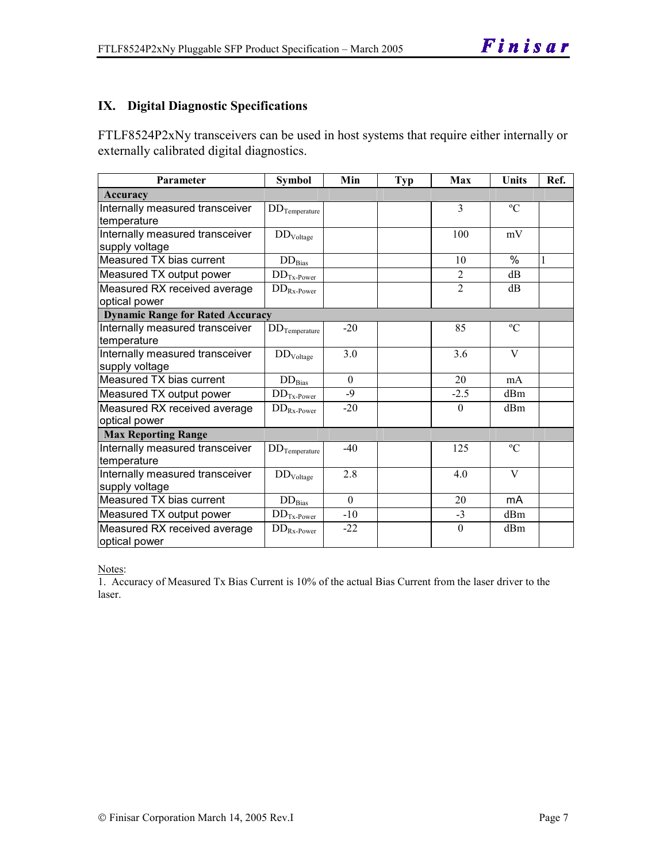#### **IX. Digital Diagnostic Specifications**

FTLF8524P2xNy transceivers can be used in host systems that require either internally or externally calibrated digital diagnostics.

| Parameter                                         | <b>Symbol</b>            | Min          | <b>Typ</b> | Max            | Units         | Ref. |
|---------------------------------------------------|--------------------------|--------------|------------|----------------|---------------|------|
| Accuracy                                          |                          |              |            |                |               |      |
| Internally measured transceiver                   | $DD$ Temperature         |              |            | $\overline{3}$ | $\rm ^{o}C$   |      |
| temperature                                       |                          |              |            |                |               |      |
| Internally measured transceiver<br>supply voltage | $\rm{DD}_{\rm{Voltage}}$ |              |            | 100            | mV            |      |
| Measured TX bias current                          | $\rm{DD}_{\rm{Bias}}$    |              |            | 10             | $\frac{0}{0}$ | 1    |
| Measured TX output power                          | $DDTx-Power$             |              |            | $\overline{2}$ | dB            |      |
| Measured RX received average<br>optical power     | $DD_{Rx\text{-}Power}$   |              |            | $\overline{2}$ | dB            |      |
| <b>Dynamic Range for Rated Accuracy</b>           |                          |              |            |                |               |      |
| Internally measured transceiver<br>temperature    | $DD$ Temperature         | $-20$        |            | 85             | $\rm ^{o}C$   |      |
| Internally measured transceiver<br>supply voltage | DD <sub>Voltage</sub>    | 3.0          |            | 3.6            | V             |      |
| Measured TX bias current                          | $DD_{\rm Bias}$          | $\mathbf{0}$ |            | 20             | mA            |      |
| Measured TX output power                          | $DDTx-Power$             | $-9$         |            | $-2.5$         | dBm           |      |
| Measured RX received average<br>optical power     | $DD_{Rx\text{-}Power}$   | $-20$        |            | $\Omega$       | dBm           |      |
| <b>Max Reporting Range</b>                        |                          |              |            |                |               |      |
| Internally measured transceiver<br>temperature    | $DD$ Temperature         | $-40$        |            | 125            | $\rm ^{o}C$   |      |
| Internally measured transceiver<br>supply voltage | DD <sub>Voltage</sub>    | 2.8          |            | 4.0            | V             |      |
| Measured TX bias current                          | $DD_{\rm Bias}$          | $\theta$     |            | 20             | mA            |      |
| Measured TX output power                          | $DDTx-Power$             | $-10$        |            | $-3$           | dBm           |      |
| Measured RX received average<br>optical power     | $DD_{Rx\text{-}Power}$   | $-22$        |            | $\theta$       | dBm           |      |

Notes:

1. Accuracy of Measured Tx Bias Current is 10% of the actual Bias Current from the laser driver to the laser.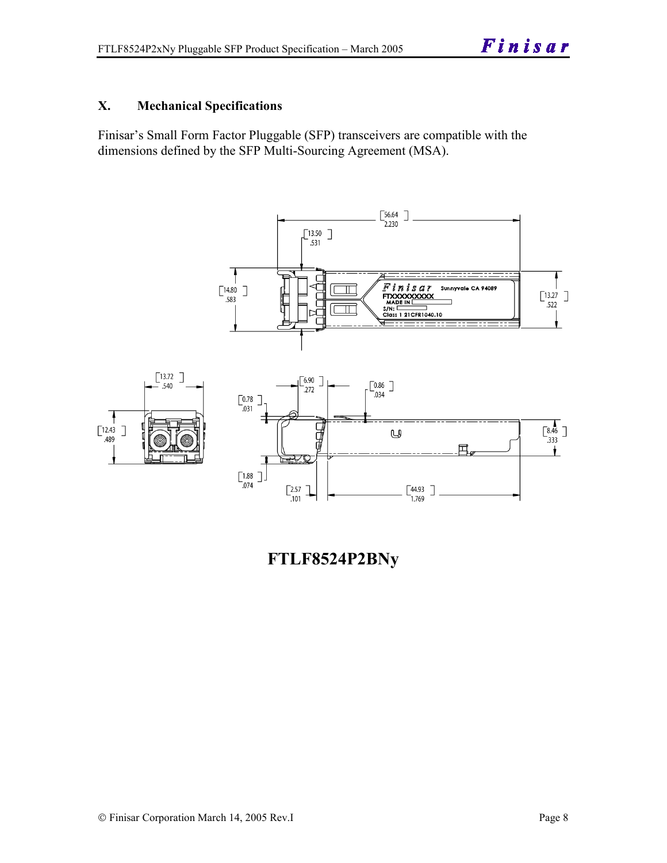#### **X. Mechanical Specifications**

Finisar's Small Form Factor Pluggable (SFP) transceivers are compatible with the dimensions defined by the SFP Multi-Sourcing Agreement (MSA).



**FTLF8524P2BNy**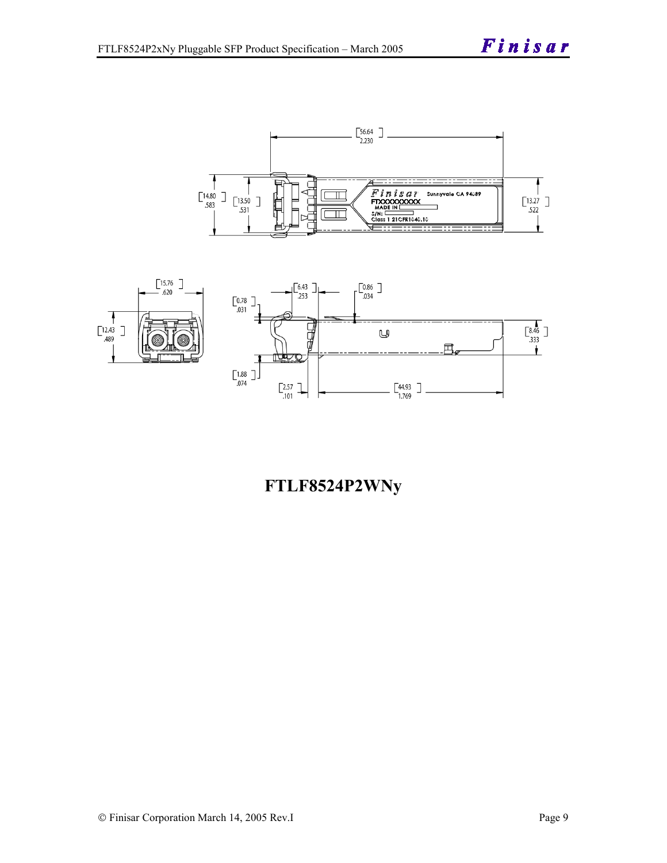



## **FTLF8524P2WNy**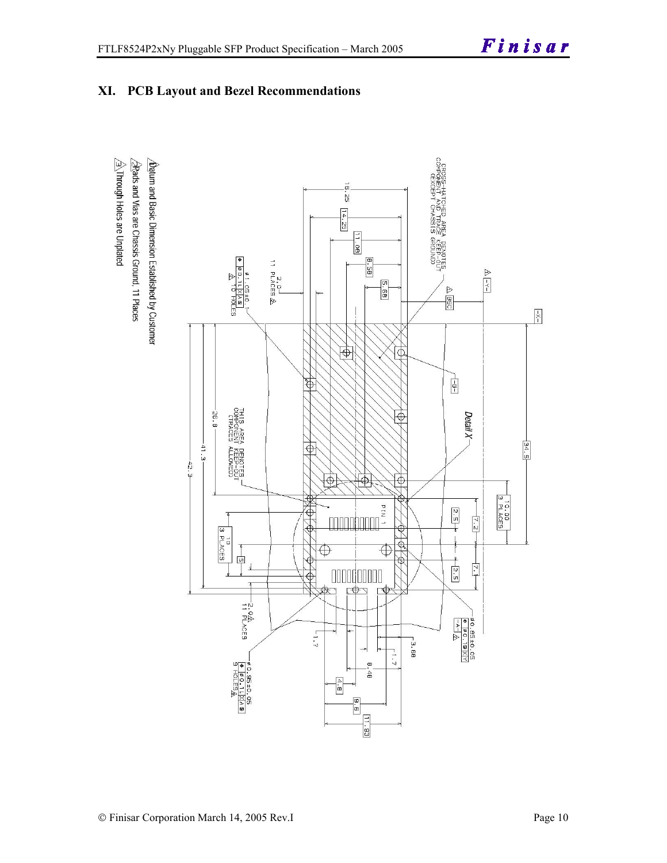



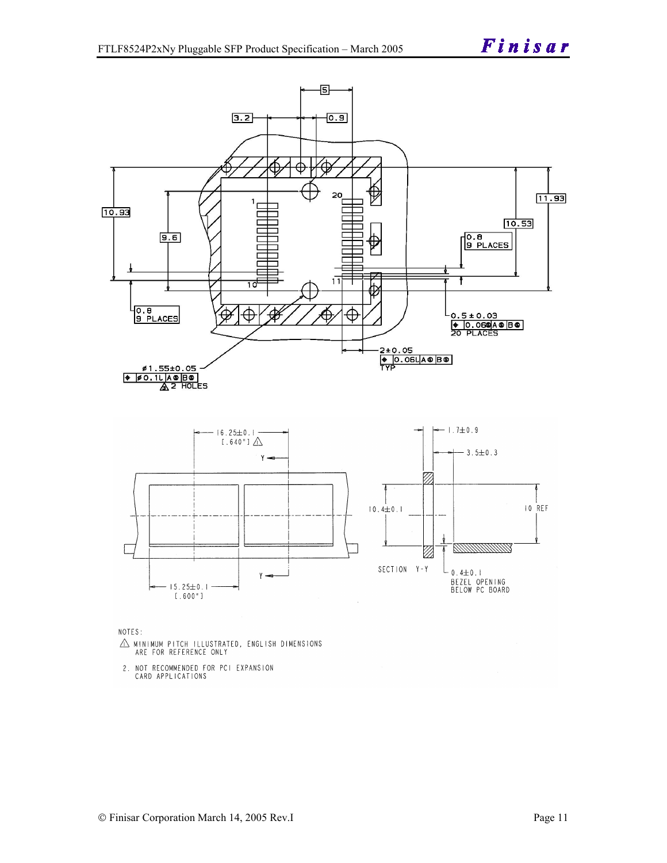

NOTES:

- $\triangle$  MINIMUM PITCH ILLUSTRATED, ENGLISH DIMENSIONS ARE FOR REFERENCE ONLY
- 2. NOT RECOMMENDED FOR PCI EXPANSION CARD APPLICATIONS